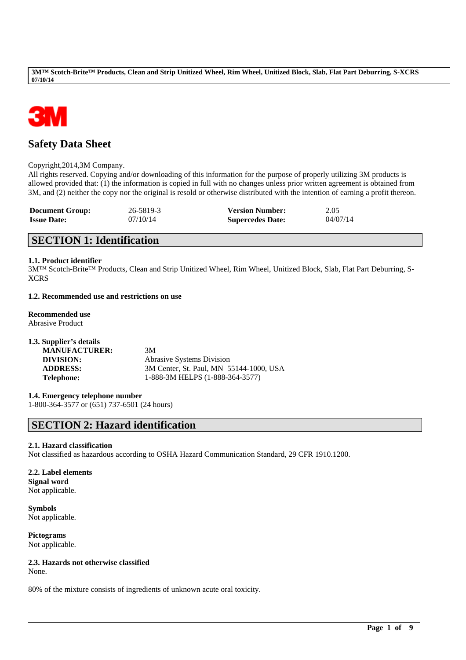

# **Safety Data Sheet**

Copyright,2014,3M Company.

All rights reserved. Copying and/or downloading of this information for the purpose of properly utilizing 3M products is allowed provided that: (1) the information is copied in full with no changes unless prior written agreement is obtained from 3M, and (2) neither the copy nor the original is resold or otherwise distributed with the intention of earning a profit thereon.

| <b>Document Group:</b> | 26-5819-3 | <b>Version Number:</b>  | 2.05     |
|------------------------|-----------|-------------------------|----------|
| <b>Issue Date:</b>     | 07/10/14  | <b>Supercedes Date:</b> | 04/07/14 |

# **SECTION 1: Identification**

## **1.1. Product identifier**

3M™ Scotch-Brite™ Products, Clean and Strip Unitized Wheel, Rim Wheel, Unitized Block, Slab, Flat Part Deburring, S-XCRS

## **1.2. Recommended use and restrictions on use**

## **Recommended use**

Abrasive Product

| 1.3. Supplier's details |                                         |
|-------------------------|-----------------------------------------|
| <b>MANUFACTURER:</b>    | 3M                                      |
| DIVISION:               | <b>Abrasive Systems Division</b>        |
| <b>ADDRESS:</b>         | 3M Center, St. Paul, MN 55144-1000, USA |
| Telephone:              | 1-888-3M HELPS (1-888-364-3577)         |

## **1.4. Emergency telephone number**

1-800-364-3577 or (651) 737-6501 (24 hours)

# **SECTION 2: Hazard identification**

## **2.1. Hazard classification**

Not classified as hazardous according to OSHA Hazard Communication Standard, 29 CFR 1910.1200.

\_\_\_\_\_\_\_\_\_\_\_\_\_\_\_\_\_\_\_\_\_\_\_\_\_\_\_\_\_\_\_\_\_\_\_\_\_\_\_\_\_\_\_\_\_\_\_\_\_\_\_\_\_\_\_\_\_\_\_\_\_\_\_\_\_\_\_\_\_\_\_\_\_\_\_\_\_\_\_\_\_\_\_\_\_\_\_\_\_\_

## **2.2. Label elements Signal word**

Not applicable.

**Symbols** Not applicable.

**Pictograms** Not applicable.

# **2.3. Hazards not otherwise classified**

None.

80% of the mixture consists of ingredients of unknown acute oral toxicity.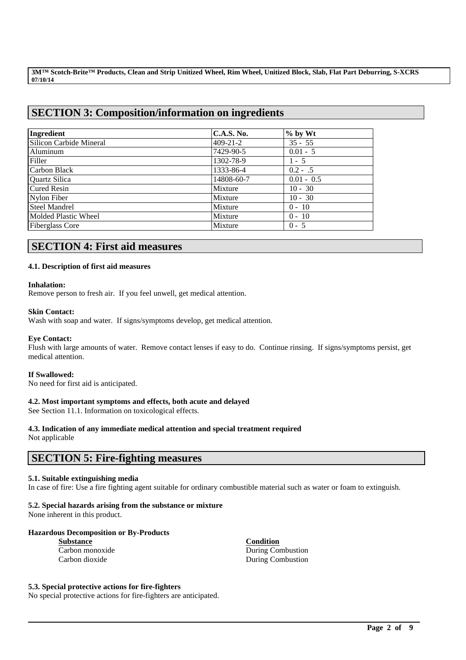# **SECTION 3: Composition/information on ingredients**

| Ingredient              | C.A.S. No.     | $%$ by Wt    |
|-------------------------|----------------|--------------|
| Silicon Carbide Mineral | $409 - 21 - 2$ | $35 - 55$    |
| Aluminum                | 7429-90-5      | $0.01 - 5$   |
| Filler                  | 1302-78-9      | $1 - 5$      |
| Carbon Black            | 1333-86-4      | $0.2 - .5$   |
| <b>Ouartz Silica</b>    | 14808-60-7     | $0.01 - 0.5$ |
| Cured Resin             | Mixture        | $10 - 30$    |
| Nylon Fiber             | Mixture        | $10 - 30$    |
| <b>Steel Mandrel</b>    | Mixture        | $0 - 10$     |
| Molded Plastic Wheel    | Mixture        | $0 - 10$     |
| <b>Fiberglass Core</b>  | Mixture        | $0 - 5$      |

# **SECTION 4: First aid measures**

## **4.1. Description of first aid measures**

## **Inhalation:**

Remove person to fresh air. If you feel unwell, get medical attention.

## **Skin Contact:**

Wash with soap and water. If signs/symptoms develop, get medical attention.

## **Eye Contact:**

Flush with large amounts of water. Remove contact lenses if easy to do. Continue rinsing. If signs/symptoms persist, get medical attention.

## **If Swallowed:**

No need for first aid is anticipated.

## **4.2. Most important symptoms and effects, both acute and delayed**

See Section 11.1. Information on toxicological effects.

# **4.3. Indication of any immediate medical attention and special treatment required**

Not applicable

## **SECTION 5: Fire-fighting measures**

## **5.1. Suitable extinguishing media**

In case of fire: Use a fire fighting agent suitable for ordinary combustible material such as water or foam to extinguish.

\_\_\_\_\_\_\_\_\_\_\_\_\_\_\_\_\_\_\_\_\_\_\_\_\_\_\_\_\_\_\_\_\_\_\_\_\_\_\_\_\_\_\_\_\_\_\_\_\_\_\_\_\_\_\_\_\_\_\_\_\_\_\_\_\_\_\_\_\_\_\_\_\_\_\_\_\_\_\_\_\_\_\_\_\_\_\_\_\_\_

## **5.2. Special hazards arising from the substance or mixture**

None inherent in this product.

## **Hazardous Decomposition or By-Products**

**Substance Condition**

Carbon monoxide During Combustion Carbon dioxide During Combustion

### **5.3. Special protective actions for fire-fighters**

No special protective actions for fire-fighters are anticipated.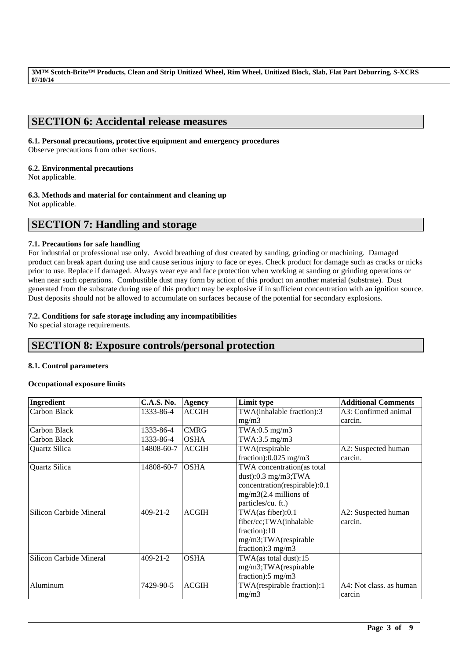# **SECTION 6: Accidental release measures**

## **6.1. Personal precautions, protective equipment and emergency procedures**

Observe precautions from other sections.

## **6.2. Environmental precautions**

Not applicable.

## **6.3. Methods and material for containment and cleaning up**

Not applicable.

## **SECTION 7: Handling and storage**

## **7.1. Precautions for safe handling**

For industrial or professional use only. Avoid breathing of dust created by sanding, grinding or machining. Damaged product can break apart during use and cause serious injury to face or eyes. Check product for damage such as cracks or nicks prior to use. Replace if damaged. Always wear eye and face protection when working at sanding or grinding operations or when near such operations. Combustible dust may form by action of this product on another material (substrate). Dust generated from the substrate during use of this product may be explosive if in sufficient concentration with an ignition source. Dust deposits should not be allowed to accumulate on surfaces because of the potential for secondary explosions.

## **7.2. Conditions for safe storage including any incompatibilities**

No special storage requirements.

# **SECTION 8: Exposure controls/personal protection**

## **8.1. Control parameters**

## **Occupational exposure limits**

| Ingredient              | <b>C.A.S. No.</b> | <b>Agency</b> | Limit type                      | <b>Additional Comments</b> |
|-------------------------|-------------------|---------------|---------------------------------|----------------------------|
| Carbon Black            | 1333-86-4         | <b>ACGIH</b>  | TWA(inhalable fraction):3       | A3: Confirmed animal       |
|                         |                   |               | mg/m3                           | carcin.                    |
| Carbon Black            | 1333-86-4         | <b>CMRG</b>   | TWA:0.5 mg/m3                   |                            |
| Carbon Black            | 1333-86-4         | <b>OSHA</b>   | TWA:3.5 $mg/m3$                 |                            |
| Quartz Silica           | 14808-60-7        | <b>ACGIH</b>  | TWA(respirable                  | A2: Suspected human        |
|                         |                   |               | fraction): $0.025$ mg/m3        | carcin.                    |
| Quartz Silica           | 14808-60-7        | <b>OSHA</b>   | TWA concentration(as total      |                            |
|                         |                   |               | dust): $0.3$ mg/m3;TWA          |                            |
|                         |                   |               | concentration(respirable):0.1   |                            |
|                         |                   |               | $mg/m3(2.4$ millions of         |                            |
|                         |                   |               | particles/cu. ft.)              |                            |
| Silicon Carbide Mineral | $409 - 21 - 2$    | <b>ACGIH</b>  | TWA(as fiber):0.1               | A2: Suspected human        |
|                         |                   |               | fiber/cc;TWA(inhalable          | carcin.                    |
|                         |                   |               | fraction):10                    |                            |
|                         |                   |               | mg/m3;TWA(respirable            |                            |
|                         |                   |               | fraction): $3 \text{ mg/m}$ $3$ |                            |
| Silicon Carbide Mineral | $409 - 21 - 2$    | <b>OSHA</b>   | TWA(as total dust):15           |                            |
|                         |                   |               | mg/m3;TWA(respirable            |                            |
|                         |                   |               | fraction): $5 \text{ mg/m}$ 3   |                            |
| Aluminum                | 7429-90-5         | <b>ACGIH</b>  | TWA(respirable fraction):1      | A4: Not class, as human    |
|                         |                   |               | mg/m3                           | carcin                     |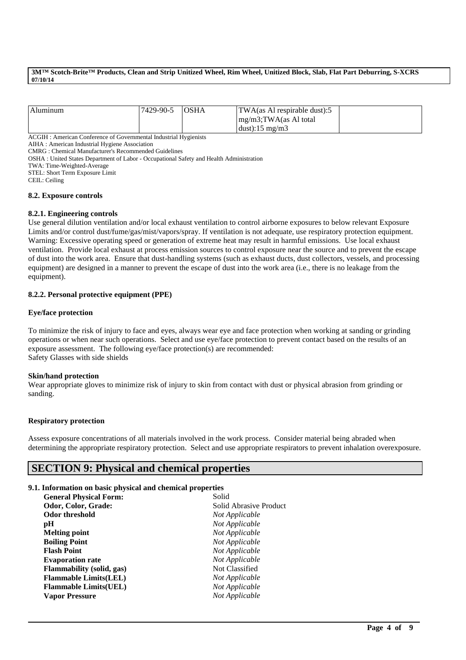| Aluminum                                                         | 7429-90-5 | <b>OSHA</b> | $\text{TWA}\left(\text{as Al} \right)$ respirable dust):5<br>mg/m3;TWA(as Al total<br>dust):15 mg/m3 |  |
|------------------------------------------------------------------|-----------|-------------|------------------------------------------------------------------------------------------------------|--|
| ___________<br>___<br><b>Contract Contract Contract Contract</b> |           |             |                                                                                                      |  |

ACGIH : American Conference of Governmental Industrial Hygienists

AIHA : American Industrial Hygiene Association

CMRG : Chemical Manufacturer's Recommended Guidelines

OSHA : United States Department of Labor - Occupational Safety and Health Administration

TWA: Time-Weighted-Average

STEL: Short Term Exposure Limit

CEIL: Ceiling

#### **8.2. Exposure controls**

### **8.2.1. Engineering controls**

Use general dilution ventilation and/or local exhaust ventilation to control airborne exposures to below relevant Exposure Limits and/or control dust/fume/gas/mist/vapors/spray. If ventilation is not adequate, use respiratory protection equipment. Warning: Excessive operating speed or generation of extreme heat may result in harmful emissions. Use local exhaust ventilation. Provide local exhaust at process emission sources to control exposure near the source and to prevent the escape of dust into the work area. Ensure that dust-handling systems (such as exhaust ducts, dust collectors, vessels, and processing equipment) are designed in a manner to prevent the escape of dust into the work area (i.e., there is no leakage from the equipment).

### **8.2.2. Personal protective equipment (PPE)**

### **Eye/face protection**

To minimize the risk of injury to face and eyes, always wear eye and face protection when working at sanding or grinding operations or when near such operations. Select and use eye/face protection to prevent contact based on the results of an exposure assessment. The following eye/face protection(s) are recommended: Safety Glasses with side shields

## **Skin/hand protection**

Wear appropriate gloves to minimize risk of injury to skin from contact with dust or physical abrasion from grinding or sanding.

### **Respiratory protection**

Assess exposure concentrations of all materials involved in the work process. Consider material being abraded when determining the appropriate respiratory protection. Select and use appropriate respirators to prevent inhalation overexposure.

\_\_\_\_\_\_\_\_\_\_\_\_\_\_\_\_\_\_\_\_\_\_\_\_\_\_\_\_\_\_\_\_\_\_\_\_\_\_\_\_\_\_\_\_\_\_\_\_\_\_\_\_\_\_\_\_\_\_\_\_\_\_\_\_\_\_\_\_\_\_\_\_\_\_\_\_\_\_\_\_\_\_\_\_\_\_\_\_\_\_

## **SECTION 9: Physical and chemical properties**

### **9.1. Information on basic physical and chemical properties**

| <b>General Physical Form:</b>    | Solid                  |
|----------------------------------|------------------------|
| Odor, Color, Grade:              | Solid Abrasive Product |
| Odor threshold                   | Not Applicable         |
| pН                               | Not Applicable         |
| <b>Melting point</b>             | Not Applicable         |
| <b>Boiling Point</b>             | Not Applicable         |
| <b>Flash Point</b>               | Not Applicable         |
| <b>Evaporation rate</b>          | Not Applicable         |
| <b>Flammability</b> (solid, gas) | Not Classified         |
| <b>Flammable Limits(LEL)</b>     | Not Applicable         |
| <b>Flammable Limits(UEL)</b>     | Not Applicable         |
| <b>Vapor Pressure</b>            | Not Applicable         |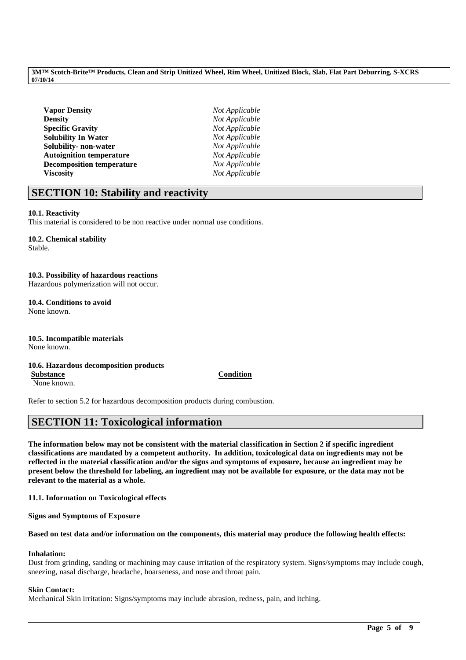| <b>Vapor Density</b>             | Not Applicable |
|----------------------------------|----------------|
| Density                          | Not Applicable |
| <b>Specific Gravitv</b>          | Not Applicable |
| <b>Solubility In Water</b>       | Not Applicable |
| Solubility- non-water            | Not Applicable |
| <b>Autoignition temperature</b>  | Not Applicable |
| <b>Decomposition temperature</b> | Not Applicable |
| <b>Viscosity</b>                 | Not Applicable |
|                                  |                |

# **SECTION 10: Stability and reactivity**

## **10.1. Reactivity**

This material is considered to be non reactive under normal use conditions.

# **10.2. Chemical stability**

Stable.

# **10.3. Possibility of hazardous reactions**

Hazardous polymerization will not occur.

### **10.4. Conditions to avoid** None known.

**10.5. Incompatible materials** None known.

### **10.6. Hazardous decomposition products Substance Condition**

None known.

Refer to section 5.2 for hazardous decomposition products during combustion.

# **SECTION 11: Toxicological information**

**The information below may not be consistent with the material classification in Section 2 if specific ingredient classifications are mandated by a competent authority. In addition, toxicological data on ingredients may not be reflected in the material classification and/or the signs and symptoms of exposure, because an ingredient may be present below the threshold for labeling, an ingredient may not be available for exposure, or the data may not be relevant to the material as a whole.**

**11.1. Information on Toxicological effects**

**Signs and Symptoms of Exposure**

**Based on test data and/or information on the components, this material may produce the following health effects:**

## **Inhalation:**

Dust from grinding, sanding or machining may cause irritation of the respiratory system. Signs/symptoms may include cough, sneezing, nasal discharge, headache, hoarseness, and nose and throat pain.

\_\_\_\_\_\_\_\_\_\_\_\_\_\_\_\_\_\_\_\_\_\_\_\_\_\_\_\_\_\_\_\_\_\_\_\_\_\_\_\_\_\_\_\_\_\_\_\_\_\_\_\_\_\_\_\_\_\_\_\_\_\_\_\_\_\_\_\_\_\_\_\_\_\_\_\_\_\_\_\_\_\_\_\_\_\_\_\_\_\_

## **Skin Contact:**

Mechanical Skin irritation: Signs/symptoms may include abrasion, redness, pain, and itching.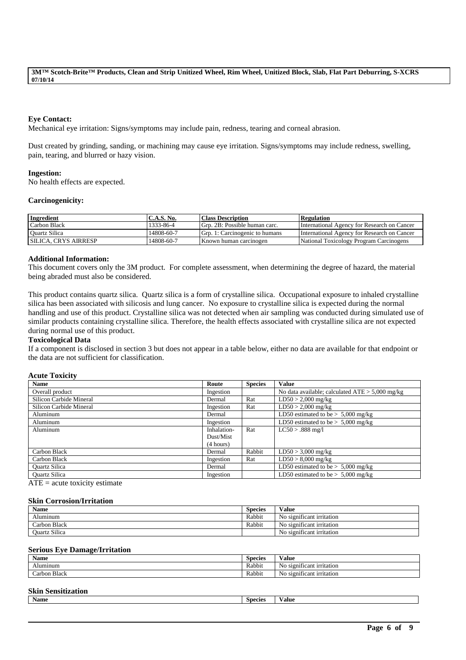## **Eye Contact:**

Mechanical eye irritation: Signs/symptoms may include pain, redness, tearing and corneal abrasion.

Dust created by grinding, sanding, or machining may cause eye irritation. Signs/symptoms may include redness, swelling, pain, tearing, and blurred or hazy vision.

### **Ingestion:**

No health effects are expected.

### **Carcinogenicity:**

| <b>Ingredient</b>           | C.A.S. No. | <b>Class Description</b>       | <b>Regulation</b>                           |
|-----------------------------|------------|--------------------------------|---------------------------------------------|
| Carbon Black                | 1333-86-4  | Grp. 2B: Possible human carc.  | International Agency for Research on Cancer |
| Ouartz Silica               | ،4808-60-7 | Grp. 1: Carcinogenic to humans | International Agency for Research on Cancer |
| <b>SILICA. CRYS AIRRESP</b> | 14808-60-7 | Known human carcinogen         | National Toxicology Program Carcinogens     |

### **Additional Information:**

This document covers only the 3M product. For complete assessment, when determining the degree of hazard, the material being abraded must also be considered.

This product contains quartz silica. Quartz silica is a form of crystalline silica. Occupational exposure to inhaled crystalline silica has been associated with silicosis and lung cancer. No exposure to crystalline silica is expected during the normal handling and use of this product. Crystalline silica was not detected when air sampling was conducted during simulated use of similar products containing crystalline silica. Therefore, the health effects associated with crystalline silica are not expected during normal use of this product.

## **Toxicological Data**

If a component is disclosed in section 3 but does not appear in a table below, either no data are available for that endpoint or the data are not sufficient for classification.

### **Acute Toxicity**

| <b>Name</b>             | Route       | <b>Species</b> | <b>Value</b>                                      |
|-------------------------|-------------|----------------|---------------------------------------------------|
| Overall product         | Ingestion   |                | No data available; calculated $ATE > 5,000$ mg/kg |
| Silicon Carbide Mineral | Dermal      | Rat            | $LD50 > 2,000$ mg/kg                              |
| Silicon Carbide Mineral | Ingestion   | Rat            | $LD50 > 2,000$ mg/kg                              |
| Aluminum                | Dermal      |                | LD50 estimated to be $> 5,000$ mg/kg              |
| Aluminum                | Ingestion   |                | LD50 estimated to be $> 5,000$ mg/kg              |
| Aluminum                | Inhalation- | Rat            | $LC50 > .888$ mg/l                                |
|                         | Dust/Mist   |                |                                                   |
|                         | (4 hours)   |                |                                                   |
| Carbon Black            | Dermal      | Rabbit         | $LD50 > 3,000$ mg/kg                              |
| Carbon Black            | Ingestion   | Rat            | $LD50 > 8,000$ mg/kg                              |
| <b>Ouartz Silica</b>    | Dermal      |                | LD50 estimated to be $> 5,000$ mg/kg              |
| <b>Ouartz Silica</b>    | Ingestion   |                | LD50 estimated to be $> 5,000$ mg/kg              |

 $ATE = acute$  toxicity estimate

### **Skin Corrosion/Irritation**

| <b>Name</b>   | <b>Species</b> | Value                                |
|---------------|----------------|--------------------------------------|
| Aluminum      | Rabbit         | No significant irritation            |
| Carbon Black  | Rabbit         | $\cdot$<br>No significant irritation |
| Ouartz Silica |                | $\cdot$<br>No significant irritation |

### **Serious Eye Damage/Irritation**

| <b>Name</b>                               | <b>Species</b> | $\cdot$ $\cdot$<br>⁄ alue                  |
|-------------------------------------------|----------------|--------------------------------------------|
| Aluminum                                  | Rabbit         | . .<br>. .<br>No<br>significant irritation |
| $\sim$<br>$\sim$<br>Black<br>orbon<br>∟aı | Rabbit         | . .<br>NC<br>significant irritation        |

### **Skin Sensitization**

|  | Name | Species | ∨alue |
|--|------|---------|-------|
|--|------|---------|-------|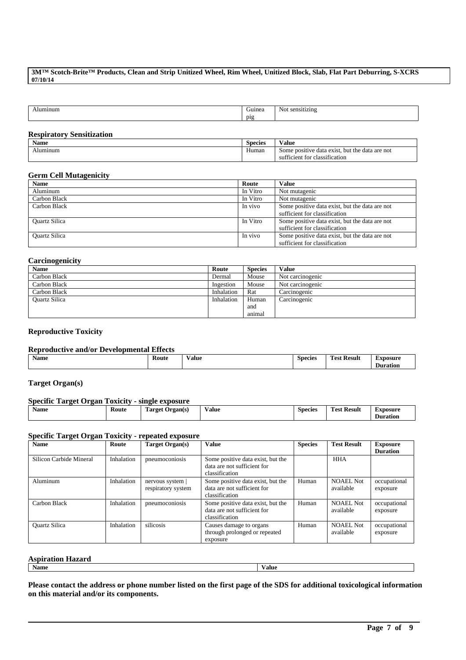| minun. | $^{\prime}$ iume. | ≅ens.<br>NO<br>ruziny |
|--------|-------------------|-----------------------|
|        | $\overline{p}$    |                       |
|        |                   |                       |

### **Respiratory Sensitization**

| $\bullet$ $\bullet$<br>Name | Species | ---<br>V alue                                                                                                               |
|-----------------------------|---------|-----------------------------------------------------------------------------------------------------------------------------|
| luminum                     | Human   | but the<br>ι are not<br>data<br>: positive<br>$\alpha$ exist.<br>data<br>Some<br>.<br>classification<br>. for<br>sufficient |

### **Germ Cell Mutagenicity**

| <b>Name</b>          | Route    | Value                                                                           |
|----------------------|----------|---------------------------------------------------------------------------------|
| Aluminum             | In Vitro | Not mutagenic                                                                   |
| Carbon Black         | In Vitro | Not mutagenic                                                                   |
| Carbon Black         | In vivo  | Some positive data exist, but the data are not<br>sufficient for classification |
| <b>Ouartz Silica</b> | In Vitro | Some positive data exist, but the data are not<br>sufficient for classification |
| <b>Ouartz Silica</b> | In vivo  | Some positive data exist, but the data are not<br>sufficient for classification |

## **Carcinogenicity**

| <b>Name</b>          | Route      | <b>Species</b> | Value            |
|----------------------|------------|----------------|------------------|
| Carbon Black         | Dermal     | Mouse          | Not carcinogenic |
| Carbon Black         | Ingestion  | Mouse          | Not carcinogenic |
| Carbon Black         | Inhalation | Rat            | Carcinogenic     |
| <b>Ouartz Silica</b> | Inhalation | Human          | Carcinogenic     |
|                      |            | and            |                  |
|                      |            | animal         |                  |

## **Reproductive Toxicity**

### **Reproductive and/or Developmental Effects**

| <b>Name</b> | Route | √alue | -<br>Species | m<br>$\sim$<br><b>Result</b><br>Test | <b>EXDOSUITE</b> |
|-------------|-------|-------|--------------|--------------------------------------|------------------|
|             |       |       |              |                                      | Duration         |

## **Target Organ(s)**

| <b>Specific Target Organ Toxicity - single exposure</b> |       |                 |              |                |                    |                 |
|---------------------------------------------------------|-------|-----------------|--------------|----------------|--------------------|-----------------|
| Name                                                    | Route | Target Organ(s) | <b>Value</b> | <b>Species</b> | <b>Test Result</b> | <b>Exposure</b> |
|                                                         |       |                 |              |                |                    | <b>Duration</b> |

## **Specific Target Organ Toxicity - repeated exposure**

| <b>Name</b>             | Route      | Target Organ(s)                        | Value                                                                              | <b>Species</b> | <b>Test Result</b>            | <b>Exposure</b>          |
|-------------------------|------------|----------------------------------------|------------------------------------------------------------------------------------|----------------|-------------------------------|--------------------------|
|                         |            |                                        |                                                                                    |                |                               | <b>Duration</b>          |
| Silicon Carbide Mineral | Inhalation | pneumoconiosis                         | Some positive data exist, but the<br>data are not sufficient for<br>classification |                | <b>HHA</b>                    |                          |
| Aluminum                | Inhalation | nervous system  <br>respiratory system | Some positive data exist, but the<br>data are not sufficient for<br>classification | Human          | <b>NOAEL Not</b><br>available | occupational<br>exposure |
| Carbon Black            | Inhalation | pneumoconiosis                         | Some positive data exist, but the<br>data are not sufficient for<br>classification | Human          | <b>NOAEL Not</b><br>available | occupational<br>exposure |
| <b>Ouartz Silica</b>    | Inhalation | silicosis                              | Causes damage to organs<br>through prolonged or repeated<br>exposure               | Human          | <b>NOAEL Not</b><br>available | occupational<br>exposure |

## **Aspiration Hazard**

**Name Value**

**Please contact the address or phone number listed on the first page of the SDS for additional toxicological information on this material and/or its components.**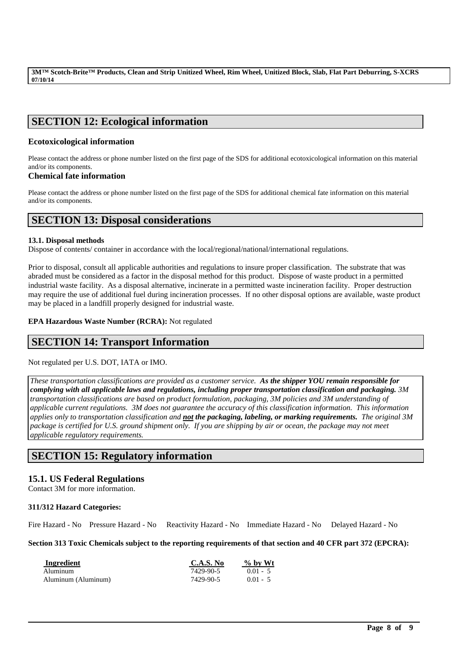# **SECTION 12: Ecological information**

## **Ecotoxicological information**

Please contact the address or phone number listed on the first page of the SDS for additional ecotoxicological information on this material and/or its components.

## **Chemical fate information**

Please contact the address or phone number listed on the first page of the SDS for additional chemical fate information on this material and/or its components.

## **SECTION 13: Disposal considerations**

### **13.1. Disposal methods**

Dispose of contents/ container in accordance with the local/regional/national/international regulations.

Prior to disposal, consult all applicable authorities and regulations to insure proper classification. The substrate that was abraded must be considered as a factor in the disposal method for this product. Dispose of waste product in a permitted industrial waste facility. As a disposal alternative, incinerate in a permitted waste incineration facility. Proper destruction may require the use of additional fuel during incineration processes. If no other disposal options are available, waste product may be placed in a landfill properly designed for industrial waste.

**EPA Hazardous Waste Number (RCRA):** Not regulated

# **SECTION 14: Transport Information**

Not regulated per U.S. DOT, IATA or IMO.

*These transportation classifications are provided as a customer service. As the shipper YOU remain responsible for complying with all applicable laws and regulations, including proper transportation classification and packaging. 3M transportation classifications are based on product formulation, packaging, 3M policies and 3M understanding of applicable current regulations. 3M does not guarantee the accuracy of this classification information. This information applies only to transportation classification and not the packaging, labeling, or marking requirements. The original 3M package is certified for U.S. ground shipment only. If you are shipping by air or ocean, the package may not meet applicable regulatory requirements.* 

# **SECTION 15: Regulatory information**

## **15.1. US Federal Regulations**

Contact 3M for more information.

## **311/312 Hazard Categories:**

Fire Hazard - No Pressure Hazard - No Reactivity Hazard - No Immediate Hazard - No Delayed Hazard - No

**Section 313 Toxic Chemicals subject to the reporting requirements of that section and 40 CFR part 372 (EPCRA):**

| Ingredient          | C.A.S. No | $\%$ by Wt |
|---------------------|-----------|------------|
| Aluminum            | 7429-90-5 | $0.01 - 5$ |
| Aluminum (Aluminum) | 7429-90-5 | $0.01 - 5$ |